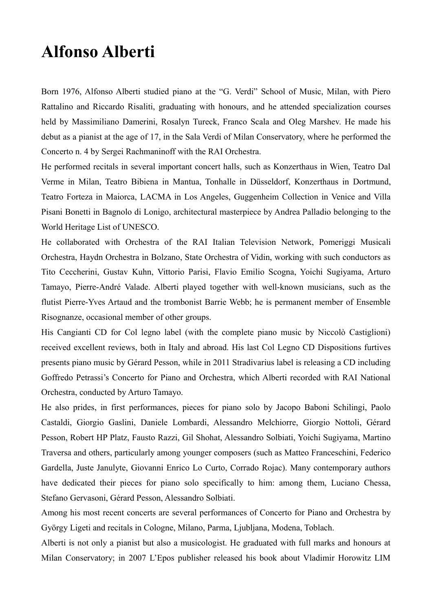## **Alfonso Alberti**

Born 1976, Alfonso Alberti studied piano at the "G. Verdi" School of Music, Milan, with Piero Rattalino and Riccardo Risaliti, graduating with honours, and he attended specialization courses held by Massimiliano Damerini, Rosalyn Tureck, Franco Scala and Oleg Marshev. He made his debut as a pianist at the age of 17, in the Sala Verdi of Milan Conservatory, where he performed the Concerto n. 4 by Sergei Rachmaninoff with the RAI Orchestra.

He performed recitals in several important concert halls, such as Konzerthaus in Wien, Teatro Dal Verme in Milan, Teatro Bibiena in Mantua, Tonhalle in Düsseldorf, Konzerthaus in Dortmund, Teatro Forteza in Maiorca, LACMA in Los Angeles, Guggenheim Collection in Venice and Villa Pisani Bonetti in Bagnolo di Lonigo, architectural masterpiece by Andrea Palladio belonging to the World Heritage List of UNESCO.

He collaborated with Orchestra of the RAI Italian Television Network, Pomeriggi Musicali Orchestra, Haydn Orchestra in Bolzano, State Orchestra of Vidin, working with such conductors as Tito Ceccherini, Gustav Kuhn, Vittorio Parisi, Flavio Emilio Scogna, Yoichi Sugiyama, Arturo Tamayo, Pierre-André Valade. Alberti played together with well-known musicians, such as the flutist Pierre-Yves Artaud and the trombonist Barrie Webb; he is permanent member of Ensemble Risognanze, occasional member of other groups.

His Cangianti CD for Col legno label (with the complete piano music by Niccolò Castiglioni) received excellent reviews, both in Italy and abroad. His last Col Legno CD Dispositions furtives presents piano music by Gérard Pesson, while in 2011 Stradivarius label is releasing a CD including Goffredo Petrassi's Concerto for Piano and Orchestra, which Alberti recorded with RAI National Orchestra, conducted by Arturo Tamayo.

He also prides, in first performances, pieces for piano solo by Jacopo Baboni Schilingi, Paolo Castaldi, Giorgio Gaslini, Daniele Lombardi, Alessandro Melchiorre, Giorgio Nottoli, Gérard Pesson, Robert HP Platz, Fausto Razzi, Gil Shohat, Alessandro Solbiati, Yoichi Sugiyama, Martino Traversa and others, particularly among younger composers (such as Matteo Franceschini, Federico Gardella, Juste Janulyte, Giovanni Enrico Lo Curto, Corrado Rojac). Many contemporary authors have dedicated their pieces for piano solo specifically to him: among them, Luciano Chessa, Stefano Gervasoni, Gérard Pesson, Alessandro Solbiati.

Among his most recent concerts are several performances of Concerto for Piano and Orchestra by György Ligeti and recitals in Cologne, Milano, Parma, Ljubljana, Modena, Toblach.

Alberti is not only a pianist but also a musicologist. He graduated with full marks and honours at Milan Conservatory; in 2007 L'Epos publisher released his book about Vladimir Horowitz LIM